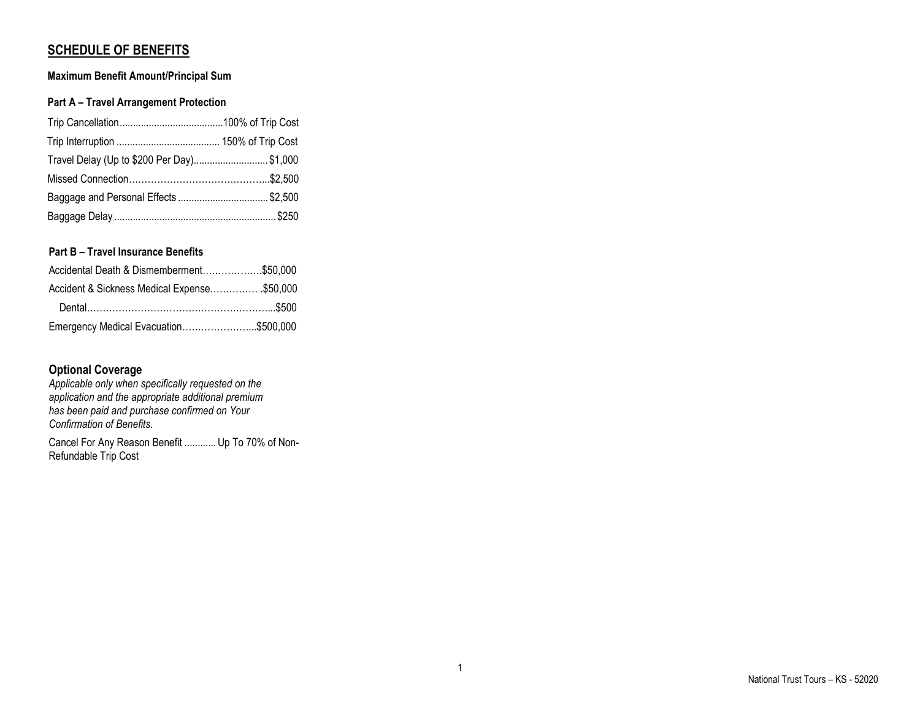# **SCHEDULE OF BENEFITS**

# **Maximum Benefit Amount/Principal Sum**

# **Part A – Travel Arrangement Protection**

| Travel Delay (Up to \$200 Per Day) \$1,000 |  |
|--------------------------------------------|--|
|                                            |  |
| Baggage and Personal Effects \$2,500       |  |
|                                            |  |

# **Part B – Travel Insurance Benefits**

| Accidental Death & Dismemberment\$50,000     |  |
|----------------------------------------------|--|
| Accident & Sickness Medical Expense \$50,000 |  |
|                                              |  |
| Emergency Medical Evacuation\$500,000        |  |

# **Optional Coverage**

*Applicable only when specifically requested on the application and the appropriate additional premium has been paid and purchase confirmed on Your Confirmation of Benefits.*

Cancel For Any Reason Benefit ............ Up To 70% of Non-Refundable Trip Cost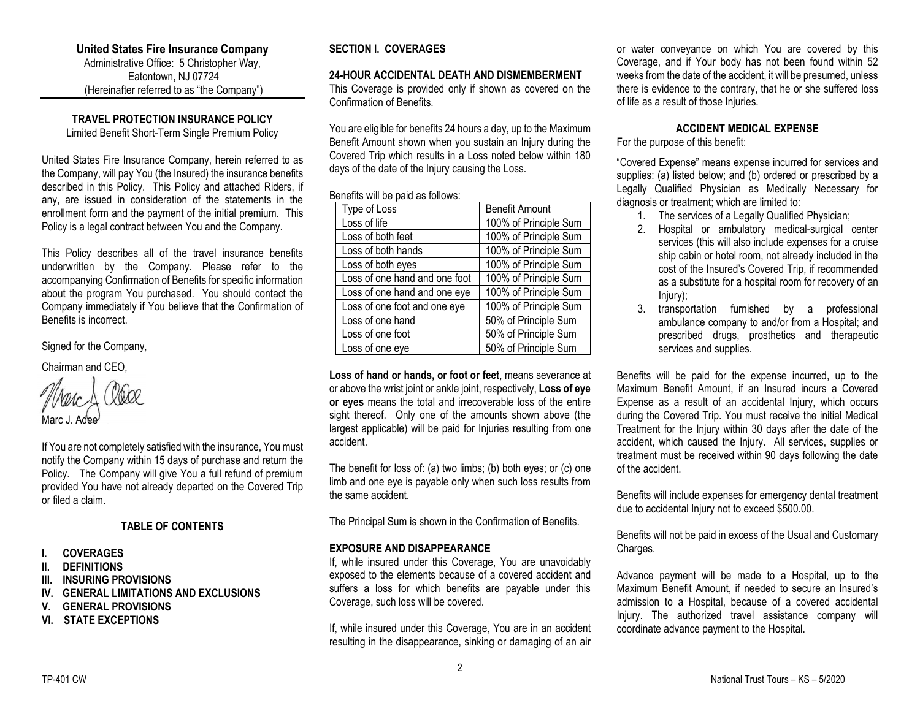## **United States Fire Insurance Company**

Administrative Office: 5 Christopher Way, Eatontown, NJ 07724 (Hereinafter referred to as "the Company")

# **TRAVEL PROTECTION INSURANCE POLICY**

Limited Benefit Short-Term Single Premium Policy

United States Fire Insurance Company, herein referred to as the Company, will pay You (the Insured) the insurance benefits described in this Policy. This Policy and attached Riders, if any, are issued in consideration of the statements in the enrollment form and the payment of the initial premium. This Policy is a legal contract between You and the Company.

This Policy describes all of the travel insurance benefits underwritten by the Company. Please refer to the accompanying Confirmation of Benefits for specific information about the program You purchased. You should contact the Company immediately if You believe that the Confirmation of Benefits is incorrect.

Signed for the Company,

Chairman and CEO,

Marc J. Adee

If You are not completely satisfied with the insurance, You must notify the Company within 15 days of purchase and return the Policy. The Company will give You a full refund of premium provided You have not already departed on the Covered Trip or filed a claim.

# **TABLE OF CONTENTS**

- **I. COVERAGES**
- **II. DEFINITIONS**
- **III. INSURING PROVISIONS**
- **IV. GENERAL LIMITATIONS AND EXCLUSIONS**
- **V. GENERAL PROVISIONS**
- **VI. STATE EXCEPTIONS**

# **SECTION I. COVERAGES**

## **24-HOUR ACCIDENTAL DEATH AND DISMEMBERMENT**

This Coverage is provided only if shown as covered on the Confirmation of Benefits.

You are eligible for benefits 24 hours a day, up to the Maximum Benefit Amount shown when you sustain an Injury during the Covered Trip which results in a Loss noted below within 180 days of the date of the Injury causing the Loss.

### Benefits will be paid as follows:

| Type of Loss                  | <b>Benefit Amount</b> |
|-------------------------------|-----------------------|
| Loss of life                  | 100% of Principle Sum |
| Loss of both feet             | 100% of Principle Sum |
| Loss of both hands            | 100% of Principle Sum |
| Loss of both eyes             | 100% of Principle Sum |
| Loss of one hand and one foot | 100% of Principle Sum |
| Loss of one hand and one eye  | 100% of Principle Sum |
| Loss of one foot and one eye  | 100% of Principle Sum |
| Loss of one hand              | 50% of Principle Sum  |
| Loss of one foot              | 50% of Principle Sum  |
| Loss of one eye               | 50% of Principle Sum  |

**Loss of hand or hands, or foot or feet**, means severance at or above the wrist joint or ankle joint, respectively, **Loss of eye or eyes** means the total and irrecoverable loss of the entire sight thereof. Only one of the amounts shown above (the largest applicable) will be paid for Injuries resulting from one accident.

The benefit for loss of: (a) two limbs; (b) both eyes; or (c) one limb and one eye is payable only when such loss results from the same accident.

The Principal Sum is shown in the Confirmation of Benefits.

# **EXPOSURE AND DISAPPEARANCE**

If, while insured under this Coverage, You are unavoidably exposed to the elements because of a covered accident and suffers a loss for which benefits are payable under this Coverage, such loss will be covered.

If, while insured under this Coverage, You are in an accident resulting in the disappearance, sinking or damaging of an air

or water conveyance on which You are covered by this Coverage, and if Your body has not been found within 52 weeks from the date of the accident, it will be presumed, unless there is evidence to the contrary, that he or she suffered loss of life as a result of those Injuries.

## **ACCIDENT MEDICAL EXPENSE**

For the purpose of this benefit:

"Covered Expense" means expense incurred for services and supplies: (a) listed below; and (b) ordered or prescribed by a Legally Qualified Physician as Medically Necessary for diagnosis or treatment; which are limited to:

- 1. The services of a Legally Qualified Physician;
- 2. Hospital or ambulatory medical-surgical center services (this will also include expenses for a cruise ship cabin or hotel room, not already included in the cost of the Insured's Covered Trip, if recommended as a substitute for a hospital room for recovery of an Injury);
- 3. transportation furnished by a professional ambulance company to and/or from a Hospital; and prescribed drugs, prosthetics and therapeutic services and supplies.

Benefits will be paid for the expense incurred, up to the Maximum Benefit Amount, if an Insured incurs a Covered Expense as a result of an accidental Injury, which occurs during the Covered Trip. You must receive the initial Medical Treatment for the Injury within 30 days after the date of the accident, which caused the Injury. All services, supplies or treatment must be received within 90 days following the date of the accident.

Benefits will include expenses for emergency dental treatment due to accidental Injury not to exceed \$500.00.

Benefits will not be paid in excess of the Usual and Customary Charges.

Advance payment will be made to a Hospital, up to the Maximum Benefit Amount, if needed to secure an Insured's admission to a Hospital, because of a covered accidental Injury. The authorized travel assistance company will coordinate advance payment to the Hospital.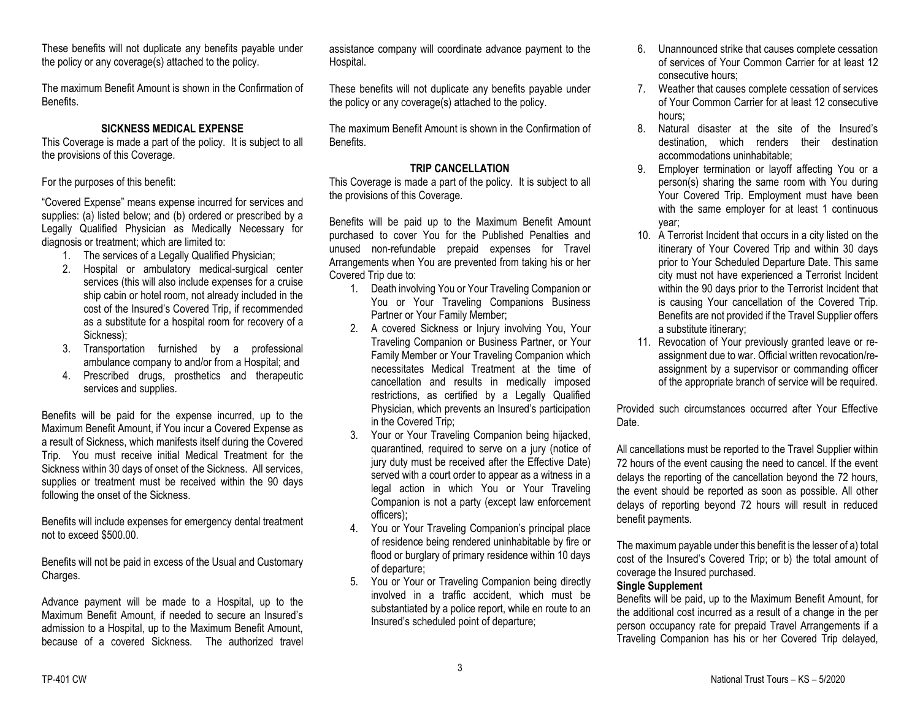These benefits will not duplicate any benefits payable under the policy or any coverage(s) attached to the policy.

The maximum Benefit Amount is shown in the Confirmation of Benefits.

# **SICKNESS MEDICAL EXPENSE**

This Coverage is made a part of the policy. It is subject to all the provisions of this Coverage.

For the purposes of this benefit:

"Covered Expense" means expense incurred for services and supplies: (a) listed below; and (b) ordered or prescribed by a Legally Qualified Physician as Medically Necessary for diagnosis or treatment; which are limited to:

- 1. The services of a Legally Qualified Physician;
- 2. Hospital or ambulatory medical-surgical center services (this will also include expenses for a cruise ship cabin or hotel room, not already included in the cost of the Insured's Covered Trip, if recommended as a substitute for a hospital room for recovery of a Sickness);
- 3. Transportation furnished by a professional ambulance company to and/or from a Hospital; and
- 4. Prescribed drugs, prosthetics and therapeutic services and supplies.

Benefits will be paid for the expense incurred, up to the Maximum Benefit Amount, if You incur a Covered Expense as a result of Sickness, which manifests itself during the Covered Trip. You must receive initial Medical Treatment for the Sickness within 30 days of onset of the Sickness. All services, supplies or treatment must be received within the 90 days following the onset of the Sickness.

Benefits will include expenses for emergency dental treatment not to exceed \$500.00.

Benefits will not be paid in excess of the Usual and Customary Charges.

Advance payment will be made to a Hospital, up to the Maximum Benefit Amount, if needed to secure an Insured's admission to a Hospital, up to the Maximum Benefit Amount, because of a covered Sickness. The authorized travel assistance company will coordinate advance payment to the Hospital.

These benefits will not duplicate any benefits payable under the policy or any coverage(s) attached to the policy.

The maximum Benefit Amount is shown in the Confirmation of Benefits.

# **TRIP CANCELLATION**

This Coverage is made a part of the policy. It is subject to all the provisions of this Coverage.

Benefits will be paid up to the Maximum Benefit Amount purchased to cover You for the Published Penalties and unused non-refundable prepaid expenses for Travel Arrangements when You are prevented from taking his or her Covered Trip due to:

- 1. Death involving You or Your Traveling Companion or You or Your Traveling Companions Business Partner or Your Family Member;
- 2. A covered Sickness or Injury involving You, Your Traveling Companion or Business Partner, or Your Family Member or Your Traveling Companion which necessitates Medical Treatment at the time of cancellation and results in medically imposed restrictions, as certified by a Legally Qualified Physician, which prevents an Insured's participation in the Covered Trip;
- 3. Your or Your Traveling Companion being hijacked, quarantined, required to serve on a jury (notice of jury duty must be received after the Effective Date) served with a court order to appear as a witness in a legal action in which You or Your Traveling Companion is not a party (except law enforcement officers);
- 4. You or Your Traveling Companion's principal place of residence being rendered uninhabitable by fire or flood or burglary of primary residence within 10 days of departure;
- 5. You or Your or Traveling Companion being directly involved in a traffic accident, which must be substantiated by a police report, while en route to an Insured's scheduled point of departure;
- 6. Unannounced strike that causes complete cessation of services of Your Common Carrier for at least 12 consecutive hours;
- 7. Weather that causes complete cessation of services of Your Common Carrier for at least 12 consecutive hours;
- 8. Natural disaster at the site of the Insured's destination, which renders their destination accommodations uninhabitable;
- 9. Employer termination or layoff affecting You or a person(s) sharing the same room with You during Your Covered Trip. Employment must have been with the same employer for at least 1 continuous year;
- 10. A Terrorist Incident that occurs in a city listed on the itinerary of Your Covered Trip and within 30 days prior to Your Scheduled Departure Date. This same city must not have experienced a Terrorist Incident within the 90 days prior to the Terrorist Incident that is causing Your cancellation of the Covered Trip. Benefits are not provided if the Travel Supplier offers a substitute itinerary;
- 11. Revocation of Your previously granted leave or reassignment due to war. Official written revocation/reassignment by a supervisor or commanding officer of the appropriate branch of service will be required.

Provided such circumstances occurred after Your Effective Date.

All cancellations must be reported to the Travel Supplier within 72 hours of the event causing the need to cancel. If the event delays the reporting of the cancellation beyond the 72 hours, the event should be reported as soon as possible. All other delays of reporting beyond 72 hours will result in reduced benefit payments.

The maximum payable under this benefit is the lesser of a) total cost of the Insured's Covered Trip; or b) the total amount of coverage the Insured purchased.

# **Single Supplement**

Benefits will be paid, up to the Maximum Benefit Amount, for the additional cost incurred as a result of a change in the per person occupancy rate for prepaid Travel Arrangements if a Traveling Companion has his or her Covered Trip delayed,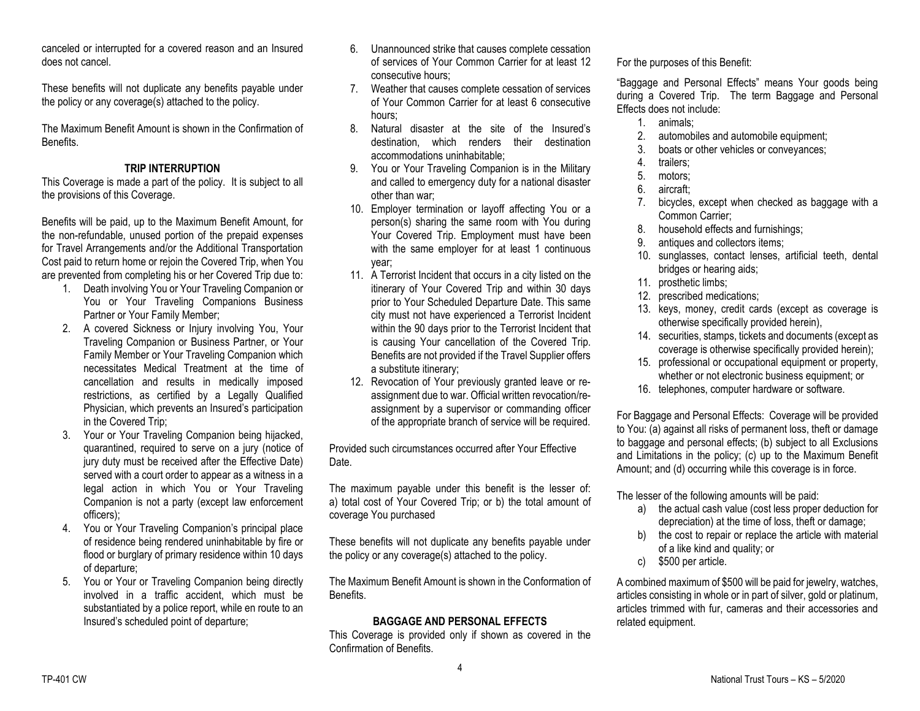canceled or interrupted for a covered reason and an Insured does not cancel.

These benefits will not duplicate any benefits payable under the policy or any coverage(s) attached to the policy.

The Maximum Benefit Amount is shown in the Confirmation of Benefits.

## **TRIP INTERRUPTION**

This Coverage is made a part of the policy. It is subject to all the provisions of this Coverage.

Benefits will be paid, up to the Maximum Benefit Amount, for the non-refundable, unused portion of the prepaid expenses for Travel Arrangements and/or the Additional Transportation Cost paid to return home or rejoin the Covered Trip, when You are prevented from completing his or her Covered Trip due to:

- 1. Death involving You or Your Traveling Companion or You or Your Traveling Companions Business Partner or Your Family Member;
- 2. A covered Sickness or Injury involving You, Your Traveling Companion or Business Partner, or Your Family Member or Your Traveling Companion which necessitates Medical Treatment at the time of cancellation and results in medically imposed restrictions, as certified by a Legally Qualified Physician, which prevents an Insured's participation in the Covered Trip;
- 3. Your or Your Traveling Companion being hijacked, quarantined, required to serve on a jury (notice of jury duty must be received after the Effective Date) served with a court order to appear as a witness in a legal action in which You or Your Traveling Companion is not a party (except law enforcement officers);
- 4. You or Your Traveling Companion's principal place of residence being rendered uninhabitable by fire or flood or burglary of primary residence within 10 days of departure;
- 5. You or Your or Traveling Companion being directly involved in a traffic accident, which must be substantiated by a police report, while en route to an Insured's scheduled point of departure;
- 6. Unannounced strike that causes complete cessation of services of Your Common Carrier for at least 12 consecutive hours;
- 7. Weather that causes complete cessation of services of Your Common Carrier for at least 6 consecutive hours;
- 8. Natural disaster at the site of the Insured's destination, which renders their destination accommodations uninhabitable;
- 9. You or Your Traveling Companion is in the Military and called to emergency duty for a national disaster other than war;
- 10. Employer termination or layoff affecting You or a person(s) sharing the same room with You during Your Covered Trip. Employment must have been with the same employer for at least 1 continuous year;
- 11. A Terrorist Incident that occurs in a city listed on the itinerary of Your Covered Trip and within 30 days prior to Your Scheduled Departure Date. This same city must not have experienced a Terrorist Incident within the 90 days prior to the Terrorist Incident that is causing Your cancellation of the Covered Trip. Benefits are not provided if the Travel Supplier offers a substitute itinerary;
- 12. Revocation of Your previously granted leave or reassignment due to war. Official written revocation/reassignment by a supervisor or commanding officer of the appropriate branch of service will be required.

Provided such circumstances occurred after Your Effective Date.

The maximum payable under this benefit is the lesser of: a) total cost of Your Covered Trip; or b) the total amount of coverage You purchased

These benefits will not duplicate any benefits payable under the policy or any coverage(s) attached to the policy.

The Maximum Benefit Amount is shown in the Conformation of Benefits.

# **BAGGAGE AND PERSONAL EFFECTS**

This Coverage is provided only if shown as covered in the Confirmation of Benefits.

For the purposes of this Benefit:

"Baggage and Personal Effects" means Your goods being during a Covered Trip. The term Baggage and Personal Effects does not include:

- 1. animals;
- 2. automobiles and automobile equipment;
- 3. boats or other vehicles or conveyances;
- 4. trailers;
- 5. motors;
- 6. aircraft;
- 7. bicycles, except when checked as baggage with a Common Carrier;
- 8. household effects and furnishings;
- 9. antiques and collectors items;
- 10. sunglasses, contact lenses, artificial teeth, dental bridges or hearing aids;
- 11. prosthetic limbs;
- 12. prescribed medications;
- 13. keys, money, credit cards (except as coverage is otherwise specifically provided herein),
- 14. securities, stamps, tickets and documents (except as coverage is otherwise specifically provided herein);
- 15. professional or occupational equipment or property, whether or not electronic business equipment; or
- 16. telephones, computer hardware or software.

For Baggage and Personal Effects: Coverage will be provided to You: (a) against all risks of permanent loss, theft or damage to baggage and personal effects; (b) subject to all Exclusions and Limitations in the policy; (c) up to the Maximum Benefit Amount; and (d) occurring while this coverage is in force.

The lesser of the following amounts will be paid:

- a) the actual cash value (cost less proper deduction for depreciation) at the time of loss, theft or damage;
- b) the cost to repair or replace the article with material of a like kind and quality; or
- c) \$500 per article.

A combined maximum of \$500 will be paid for jewelry, watches, articles consisting in whole or in part of silver, gold or platinum, articles trimmed with fur, cameras and their accessories and related equipment.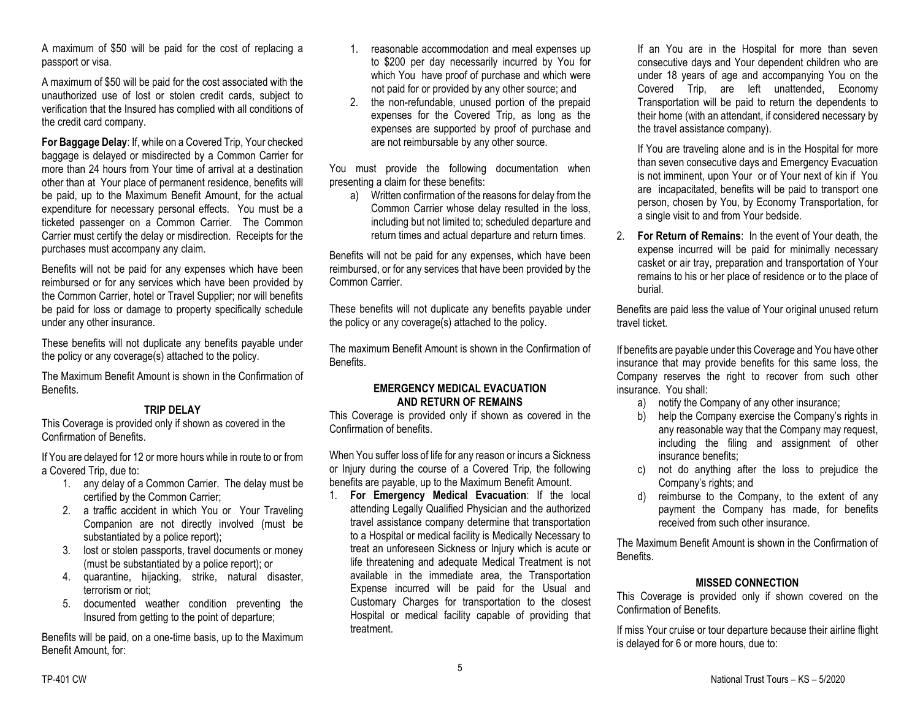A maximum of \$50 will be paid for the cost of replacing a passport or visa.

A maximum of \$50 will be paid for the cost associated with the unauthorized use of lost or stolen credit cards, subject to verification that the Insured has complied with all conditions of the credit card company.

**For Baggage Delay**: If, while on a Covered Trip, Your checked baggage is delayed or misdirected by a Common Carrier for more than 24 hours from Your time of arrival at a destination other than at Your place of permanent residence, benefits will be paid, up to the Maximum Benefit Amount, for the actual expenditure for necessary personal effects. You must be a ticketed passenger on a Common Carrier. The Common Carrier must certify the delay or misdirection. Receipts for the purchases must accompany any claim.

Benefits will not be paid for any expenses which have been reimbursed or for any services which have been provided by the Common Carrier, hotel or Travel Supplier; nor will benefits be paid for loss or damage to property specifically schedule under any other insurance.

These benefits will not duplicate any benefits payable under the policy or any coverage(s) attached to the policy.

The Maximum Benefit Amount is shown in the Confirmation of **Benefits** 

### **TRIP DELAY**

This Coverage is provided only if shown as covered in the Confirmation of Benefits.

If You are delayed for 12 or more hours while in route to or from a Covered Trip, due to:

- 1. any delay of a Common Carrier. The delay must be certified by the Common Carrier;
- 2. a traffic accident in which You or Your Traveling Companion are not directly involved (must be substantiated by a police report);
- 3. lost or stolen passports, travel documents or money (must be substantiated by a police report); or
- 4. quarantine, hijacking, strike, natural disaster, terrorism or riot;
- 5. documented weather condition preventing the Insured from getting to the point of departure;

Benefits will be paid, on a one-time basis, up to the Maximum Benefit Amount, for:

- 1. reasonable accommodation and meal expenses up to \$200 per day necessarily incurred by You for which You have proof of purchase and which were not paid for or provided by any other source; and
- 2. the non-refundable, unused portion of the prepaid expenses for the Covered Trip, as long as the expenses are supported by proof of purchase and are not reimbursable by any other source.

You must provide the following documentation when presenting a claim for these benefits:

a) Written confirmation of the reasons for delay from the Common Carrier whose delay resulted in the loss, including but not limited to; scheduled departure and return times and actual departure and return times.

Benefits will not be paid for any expenses, which have been reimbursed, or for any services that have been provided by the Common Carrier.

These benefits will not duplicate any benefits payable under the policy or any coverage(s) attached to the policy.

The maximum Benefit Amount is shown in the Confirmation of Benefits.

## **EMERGENCY MEDICAL EVACUATION AND RETURN OF REMAINS**

This Coverage is provided only if shown as covered in the Confirmation of benefits.

When You suffer loss of life for any reason or incurs a Sickness or Injury during the course of a Covered Trip, the following benefits are payable, up to the Maximum Benefit Amount.

1. **For Emergency Medical Evacuation**: If the local attending Legally Qualified Physician and the authorized travel assistance company determine that transportation to a Hospital or medical facility is Medically Necessary to treat an unforeseen Sickness or Injury which is acute or life threatening and adequate Medical Treatment is not available in the immediate area, the Transportation Expense incurred will be paid for the Usual and Customary Charges for transportation to the closest Hospital or medical facility capable of providing that treatment.

If an You are in the Hospital for more than seven consecutive days and Your dependent children who are under 18 years of age and accompanying You on the Covered Trip, are left unattended, Economy Transportation will be paid to return the dependents to their home (with an attendant, if considered necessary by the travel assistance company).

If You are traveling alone and is in the Hospital for more than seven consecutive days and Emergency Evacuation is not imminent, upon Your or of Your next of kin if You are incapacitated, benefits will be paid to transport one person, chosen by You, by Economy Transportation, for a single visit to and from Your bedside.

2. **For Return of Remains**: In the event of Your death, the expense incurred will be paid for minimally necessary casket or air tray, preparation and transportation of Your remains to his or her place of residence or to the place of burial.

Benefits are paid less the value of Your original unused return travel ticket.

If benefits are payable under this Coverage and You have other insurance that may provide benefits for this same loss, the Company reserves the right to recover from such other insurance. You shall:

- a) notify the Company of any other insurance;
- b) help the Company exercise the Company's rights in any reasonable way that the Company may request, including the filing and assignment of other insurance benefits;
- c) not do anything after the loss to prejudice the Company's rights; and
- d) reimburse to the Company, to the extent of any payment the Company has made, for benefits received from such other insurance.

The Maximum Benefit Amount is shown in the Confirmation of Benefits.

### **MISSED CONNECTION**

This Coverage is provided only if shown covered on the Confirmation of Benefits.

If miss Your cruise or tour departure because their airline flight is delayed for 6 or more hours, due to: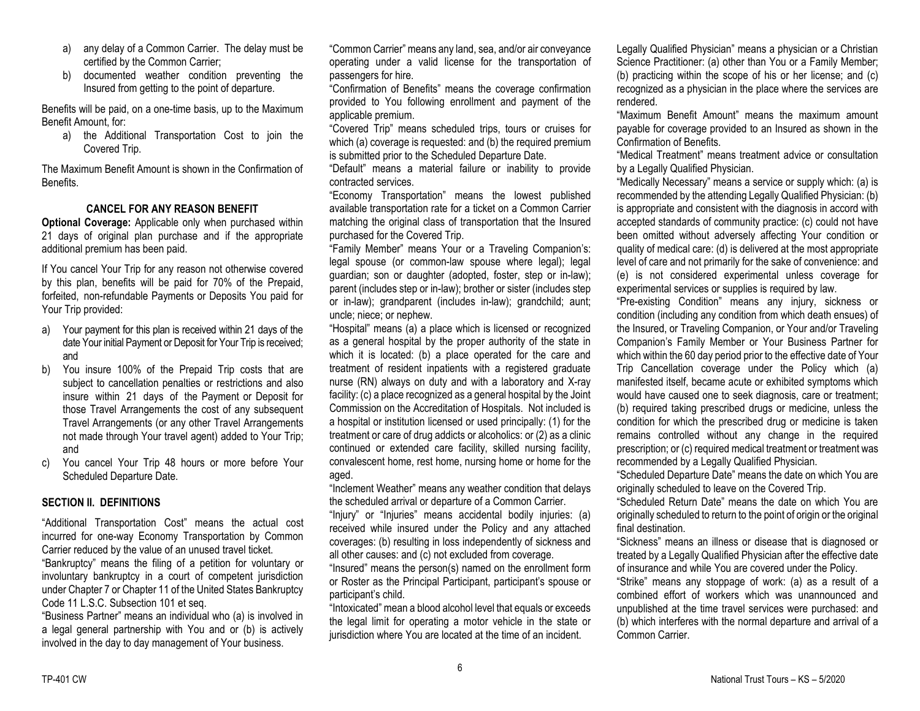- a) any delay of a Common Carrier. The delay must be certified by the Common Carrier;
- b) documented weather condition preventing the Insured from getting to the point of departure.

Benefits will be paid, on a one-time basis, up to the Maximum Benefit Amount, for:

a) the Additional Transportation Cost to join the Covered Trip.

The Maximum Benefit Amount is shown in the Confirmation of Benefits.

#### **CANCEL FOR ANY REASON BENEFIT**

**Optional Coverage:** Applicable only when purchased within 21 days of original plan purchase and if the appropriate additional premium has been paid.

If You cancel Your Trip for any reason not otherwise covered by this plan, benefits will be paid for 70% of the Prepaid, forfeited, non-refundable Payments or Deposits You paid for Your Trip provided:

- a) Your payment for this plan is received within 21 days of the date Your initial Payment or Deposit for Your Trip is received; and
- b) You insure 100% of the Prepaid Trip costs that are subject to cancellation penalties or restrictions and also insure within 21 days of the Payment or Deposit for those Travel Arrangements the cost of any subsequent Travel Arrangements (or any other Travel Arrangements not made through Your travel agent) added to Your Trip; and
- c) You cancel Your Trip 48 hours or more before Your Scheduled Departure Date.

#### **SECTION II. DEFINITIONS**

"Additional Transportation Cost" means the actual cost incurred for one-way Economy Transportation by Common Carrier reduced by the value of an unused travel ticket. "Bankruptcy" means the filing of a petition for voluntary or involuntary bankruptcy in a court of competent jurisdiction

under Chapter 7 or Chapter 11 of the United States Bankruptcy Code 11 L.S.C. Subsection 101 et seq.

"Business Partner" means an individual who (a) is involved in a legal general partnership with You and or (b) is actively involved in the day to day management of Your business.

"Common Carrier" means any land, sea, and/or air conveyance operating under a valid license for the transportation of passengers for hire.

"Confirmation of Benefits" means the coverage confirmation provided to You following enrollment and payment of the applicable premium.

"Covered Trip" means scheduled trips, tours or cruises for which (a) coverage is requested: and (b) the required premium is submitted prior to the Scheduled Departure Date.

"Default" means a material failure or inability to provide contracted services.

"Economy Transportation" means the lowest published available transportation rate for a ticket on a Common Carrier matching the original class of transportation that the Insured purchased for the Covered Trip.

"Family Member" means Your or a Traveling Companion's: legal spouse (or common-law spouse where legal); legal guardian; son or daughter (adopted, foster, step or in-law); parent (includes step or in-law); brother or sister (includes step or in-law); grandparent (includes in-law); grandchild; aunt; uncle; niece; or nephew.

"Hospital" means (a) a place which is licensed or recognized as a general hospital by the proper authority of the state in which it is located: (b) a place operated for the care and treatment of resident inpatients with a registered graduate nurse (RN) always on duty and with a laboratory and X-ray facility: (c) a place recognized as a general hospital by the Joint Commission on the Accreditation of Hospitals. Not included is a hospital or institution licensed or used principally: (1) for the treatment or care of drug addicts or alcoholics: or (2) as a clinic continued or extended care facility, skilled nursing facility, convalescent home, rest home, nursing home or home for the aged.

"Inclement Weather" means any weather condition that delays the scheduled arrival or departure of a Common Carrier.

"Injury" or "Injuries" means accidental bodily injuries: (a) received while insured under the Policy and any attached coverages: (b) resulting in loss independently of sickness and all other causes: and (c) not excluded from coverage.

"Insured" means the person(s) named on the enrollment form or Roster as the Principal Participant, participant's spouse or participant's child.

"Intoxicated" mean a blood alcohol level that equals or exceeds the legal limit for operating a motor vehicle in the state or jurisdiction where You are located at the time of an incident.

Legally Qualified Physician" means a physician or a Christian Science Practitioner: (a) other than You or a Family Member; (b) practicing within the scope of his or her license; and (c) recognized as a physician in the place where the services are rendered.

"Maximum Benefit Amount" means the maximum amount payable for coverage provided to an Insured as shown in the Confirmation of Benefits.

"Medical Treatment" means treatment advice or consultation by a Legally Qualified Physician.

"Medically Necessary" means a service or supply which: (a) is recommended by the attending Legally Qualified Physician: (b) is appropriate and consistent with the diagnosis in accord with accepted standards of community practice: (c) could not have been omitted without adversely affecting Your condition or quality of medical care: (d) is delivered at the most appropriate level of care and not primarily for the sake of convenience: and (e) is not considered experimental unless coverage for experimental services or supplies is required by law.

"Pre-existing Condition" means any injury, sickness or condition (including any condition from which death ensues) of the Insured, or Traveling Companion, or Your and/or Traveling Companion's Family Member or Your Business Partner for which within the 60 day period prior to the effective date of Your Trip Cancellation coverage under the Policy which (a) manifested itself, became acute or exhibited symptoms which would have caused one to seek diagnosis, care or treatment; (b) required taking prescribed drugs or medicine, unless the condition for which the prescribed drug or medicine is taken remains controlled without any change in the required prescription; or (c) required medical treatment or treatment was recommended by a Legally Qualified Physician.

"Scheduled Departure Date" means the date on which You are originally scheduled to leave on the Covered Trip.

"Scheduled Return Date" means the date on which You are originally scheduled to return to the point of origin or the original final destination.

"Sickness" means an illness or disease that is diagnosed or treated by a Legally Qualified Physician after the effective date of insurance and while You are covered under the Policy.

"Strike" means any stoppage of work: (a) as a result of a combined effort of workers which was unannounced and unpublished at the time travel services were purchased: and (b) which interferes with the normal departure and arrival of a Common Carrier.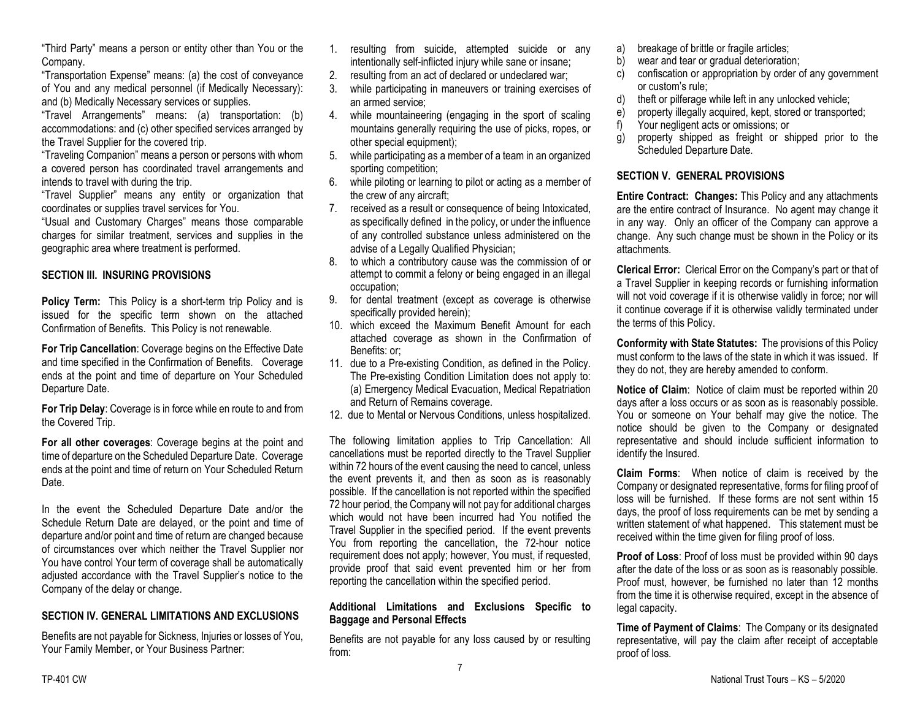"Third Party" means a person or entity other than You or the Company.

"Transportation Expense" means: (a) the cost of conveyance of You and any medical personnel (if Medically Necessary): and (b) Medically Necessary services or supplies.

"Travel Arrangements" means: (a) transportation: (b) accommodations: and (c) other specified services arranged by the Travel Supplier for the covered trip.

"Traveling Companion" means a person or persons with whom a covered person has coordinated travel arrangements and intends to travel with during the trip.

"Travel Supplier" means any entity or organization that coordinates or supplies travel services for You.

"Usual and Customary Charges" means those comparable charges for similar treatment, services and supplies in the geographic area where treatment is performed.

#### **SECTION III. INSURING PROVISIONS**

**Policy Term:** This Policy is a short-term trip Policy and is issued for the specific term shown on the attached Confirmation of Benefits. This Policy is not renewable.

**For Trip Cancellation**: Coverage begins on the Effective Date and time specified in the Confirmation of Benefits. Coverage ends at the point and time of departure on Your Scheduled Departure Date.

**For Trip Delay**: Coverage is in force while en route to and from the Covered Trip.

**For all other coverages**: Coverage begins at the point and time of departure on the Scheduled Departure Date. Coverage ends at the point and time of return on Your Scheduled Return Date.

In the event the Scheduled Departure Date and/or the Schedule Return Date are delayed, or the point and time of departure and/or point and time of return are changed because of circumstances over which neither the Travel Supplier nor You have control Your term of coverage shall be automatically adjusted accordance with the Travel Supplier's notice to the Company of the delay or change.

### **SECTION IV. GENERAL LIMITATIONS AND EXCLUSIONS**

Benefits are not payable for Sickness, Injuries or losses of You, Your Family Member, or Your Business Partner:

- 1. resulting from suicide, attempted suicide or any intentionally self-inflicted injury while sane or insane;
- 2. resulting from an act of declared or undeclared war;
- 3. while participating in maneuvers or training exercises of an armed service;
- 4. while mountaineering (engaging in the sport of scaling mountains generally requiring the use of picks, ropes, or other special equipment);
- 5. while participating as a member of a team in an organized sporting competition;
- 6. while piloting or learning to pilot or acting as a member of the crew of any aircraft;
- 7. received as a result or consequence of being Intoxicated, as specifically defined in the policy, or under the influence of any controlled substance unless administered on the advise of a Legally Qualified Physician;
- 8. to which a contributory cause was the commission of or attempt to commit a felony or being engaged in an illegal occupation;
- 9. for dental treatment (except as coverage is otherwise specifically provided herein);
- 10. which exceed the Maximum Benefit Amount for each attached coverage as shown in the Confirmation of Benefits: or;
- 11. due to a Pre-existing Condition, as defined in the Policy. The Pre-existing Condition Limitation does not apply to: (a) Emergency Medical Evacuation, Medical Repatriation and Return of Remains coverage.
- 12. due to Mental or Nervous Conditions, unless hospitalized.

The following limitation applies to Trip Cancellation: All cancellations must be reported directly to the Travel Supplier within 72 hours of the event causing the need to cancel, unless the event prevents it, and then as soon as is reasonably possible. If the cancellation is not reported within the specified 72 hour period, the Company will not pay for additional charges which would not have been incurred had You notified the Travel Supplier in the specified period. If the event prevents You from reporting the cancellation, the 72-hour notice requirement does not apply; however, You must, if requested, provide proof that said event prevented him or her from reporting the cancellation within the specified period.

#### **Additional Limitations and Exclusions Specific to Baggage and Personal Effects**

Benefits are not payable for any loss caused by or resulting from:

- a) breakage of brittle or fragile articles;
- b) wear and tear or gradual deterioration;
- c) confiscation or appropriation by order of any government or custom's rule;
- d) theft or pilferage while left in any unlocked vehicle;
- e) property illegally acquired, kept, stored or transported;
- f) Your negligent acts or omissions; or
- g) property shipped as freight or shipped prior to the Scheduled Departure Date.

## **SECTION V. GENERAL PROVISIONS**

**Entire Contract: Changes:** This Policy and any attachments are the entire contract of Insurance. No agent may change it in any way. Only an officer of the Company can approve a change. Any such change must be shown in the Policy or its attachments.

**Clerical Error:** Clerical Error on the Company's part or that of a Travel Supplier in keeping records or furnishing information will not void coverage if it is otherwise validly in force; nor will it continue coverage if it is otherwise validly terminated under the terms of this Policy.

**Conformity with State Statutes:** The provisions of this Policy must conform to the laws of the state in which it was issued. If they do not, they are hereby amended to conform.

**Notice of Claim**: Notice of claim must be reported within 20 days after a loss occurs or as soon as is reasonably possible. You or someone on Your behalf may give the notice. The notice should be given to the Company or designated representative and should include sufficient information to identify the Insured.

**Claim Forms**: When notice of claim is received by the Company or designated representative, forms for filing proof of loss will be furnished. If these forms are not sent within 15 days, the proof of loss requirements can be met by sending a written statement of what happened. This statement must be received within the time given for filing proof of loss.

**Proof of Loss**: Proof of loss must be provided within 90 days after the date of the loss or as soon as is reasonably possible. Proof must, however, be furnished no later than 12 months from the time it is otherwise required, except in the absence of legal capacity.

**Time of Payment of Claims**: The Company or its designated representative, will pay the claim after receipt of acceptable proof of loss.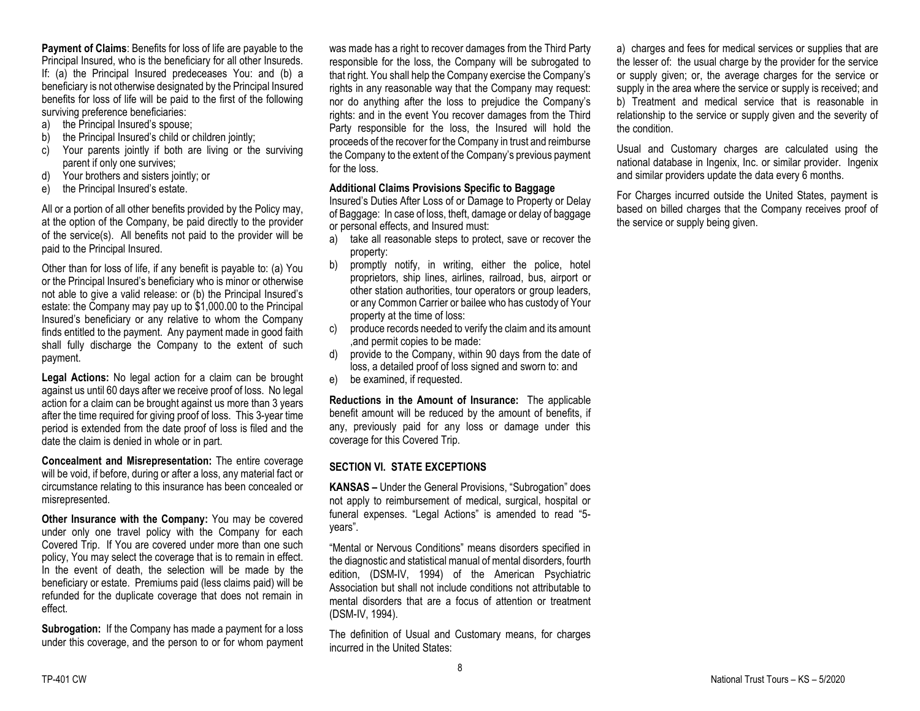**Payment of Claims**: Benefits for loss of life are payable to the Principal Insured, who is the beneficiary for all other Insureds. If: (a) the Principal Insured predeceases You: and (b) a beneficiary is not otherwise designated by the Principal Insured benefits for loss of life will be paid to the first of the following surviving preference beneficiaries:

- a) the Principal Insured's spouse;
- b) the Principal Insured's child or children jointly;
- c) Your parents jointly if both are living or the surviving parent if only one survives;
- d) Your brothers and sisters jointly; or
- e) the Principal Insured's estate.

All or a portion of all other benefits provided by the Policy may, at the option of the Company, be paid directly to the provider of the service(s). All benefits not paid to the provider will be paid to the Principal Insured.

Other than for loss of life, if any benefit is payable to: (a) You or the Principal Insured's beneficiary who is minor or otherwise not able to give a valid release: or (b) the Principal Insured's estate: the Company may pay up to \$1,000.00 to the Principal Insured's beneficiary or any relative to whom the Company finds entitled to the payment. Any payment made in good faith shall fully discharge the Company to the extent of such payment.

**Legal Actions:** No legal action for a claim can be brought against us until 60 days after we receive proof of loss. No legal action for a claim can be brought against us more than 3 years after the time required for giving proof of loss. This 3-year time period is extended from the date proof of loss is filed and the date the claim is denied in whole or in part.

**Concealment and Misrepresentation:** The entire coverage will be void, if before, during or after a loss, any material fact or circumstance relating to this insurance has been concealed or misrepresented.

**Other Insurance with the Company:** You may be covered under only one travel policy with the Company for each Covered Trip. If You are covered under more than one such policy, You may select the coverage that is to remain in effect. In the event of death, the selection will be made by the beneficiary or estate. Premiums paid (less claims paid) will be refunded for the duplicate coverage that does not remain in effect.

**Subrogation:** If the Company has made a payment for a loss under this coverage, and the person to or for whom payment was made has a right to recover damages from the Third Party responsible for the loss, the Company will be subrogated to that right. You shall help the Company exercise the Company's rights in any reasonable way that the Company may request: nor do anything after the loss to prejudice the Company's rights: and in the event You recover damages from the Third Party responsible for the loss, the Insured will hold the proceeds of the recover for the Company in trust and reimburse the Company to the extent of the Company's previous payment for the loss.

#### **Additional Claims Provisions Specific to Baggage**

Insured's Duties After Loss of or Damage to Property or Delay of Baggage: In case of loss, theft, damage or delay of baggage or personal effects, and Insured must:

- a) take all reasonable steps to protect, save or recover the property:
- b) promptly notify, in writing, either the police, hotel proprietors, ship lines, airlines, railroad, bus, airport or other station authorities, tour operators or group leaders, or any Common Carrier or bailee who has custody of Your property at the time of loss:
- c) produce records needed to verify the claim and its amount ,and permit copies to be made:
- d) provide to the Company, within 90 days from the date of loss, a detailed proof of loss signed and sworn to: and
- e) be examined, if requested.

**Reductions in the Amount of Insurance:** The applicable benefit amount will be reduced by the amount of benefits, if any, previously paid for any loss or damage under this coverage for this Covered Trip.

### **SECTION VI. STATE EXCEPTIONS**

**KANSAS –** Under the General Provisions, "Subrogation" does not apply to reimbursement of medical, surgical, hospital or funeral expenses. "Legal Actions" is amended to read "5 years".

"Mental or Nervous Conditions" means disorders specified in the diagnostic and statistical manual of mental disorders, fourth edition, (DSM-IV, 1994) of the American Psychiatric Association but shall not include conditions not attributable to mental disorders that are a focus of attention or treatment (DSM-IV, 1994).

The definition of Usual and Customary means, for charges incurred in the United States:

a) charges and fees for medical services or supplies that are the lesser of: the usual charge by the provider for the service or supply given; or, the average charges for the service or supply in the area where the service or supply is received; and b) Treatment and medical service that is reasonable in relationship to the service or supply given and the severity of the condition.

Usual and Customary charges are calculated using the national database in Ingenix, Inc. or similar provider. Ingenix and similar providers update the data every 6 months.

For Charges incurred outside the United States, payment is based on billed charges that the Company receives proof of the service or supply being given.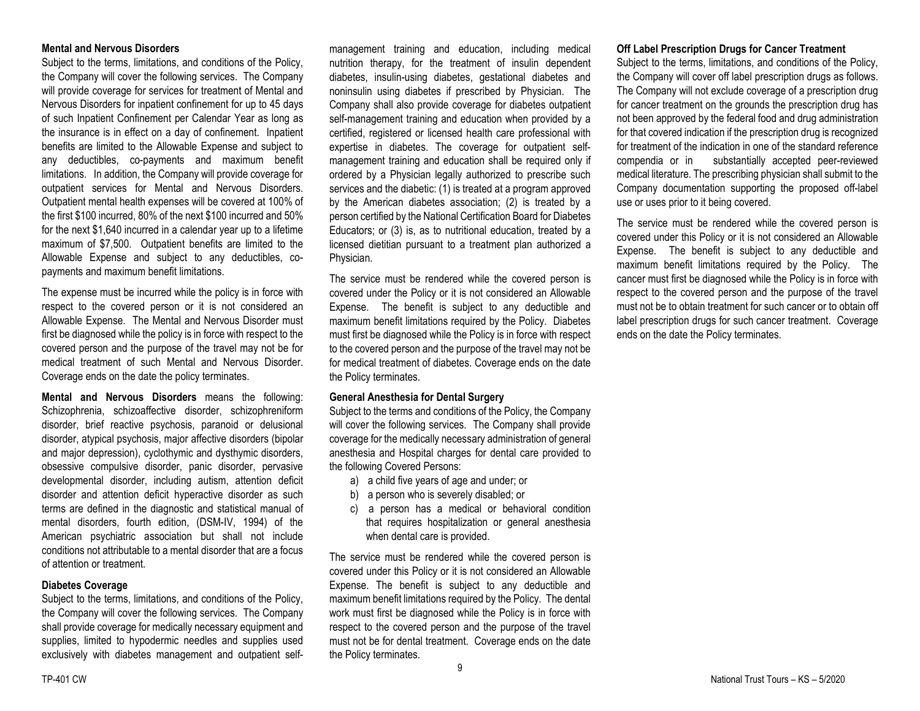#### **Mental and Nervous Disorders**

Subject to the terms, limitations, and conditions of the Policy, the Company will cover the following services. The Company will provide coverage for services for treatment of Mental and Nervous Disorders for inpatient confinement for up to 45 days of such Inpatient Confinement per Calendar Year as long as the insurance is in effect on a day of confinement. Inpatient benefits are limited to the Allowable Expense and subject to any deductibles, co-payments and maximum benefit limitations. In addition, the Company will provide coverage for outpatient services for Mental and Nervous Disorders. Outpatient mental health expenses will be covered at 100% of the first \$100 incurred, 80% of the next \$100 incurred and 50% for the next \$1,640 incurred in a calendar year up to a lifetime maximum of \$7,500. Outpatient benefits are limited to the Allowable Expense and subject to any deductibles, copayments and maximum benefit limitations.

The expense must be incurred while the policy is in force with respect to the covered person or it is not considered an Allowable Expense. The Mental and Nervous Disorder must first be diagnosed while the policy is in force with respect to the covered person and the purpose of the travel may not be for medical treatment of such Mental and Nervous Disorder. Coverage ends on the date the policy terminates.

**Mental and Nervous Disorders** means the following: Schizophrenia, schizoaffective disorder, schizophreniform disorder, brief reactive psychosis, paranoid or delusional disorder, atypical psychosis, major affective disorders (bipolar and major depression), cyclothymic and dysthymic disorders, obsessive compulsive disorder, panic disorder, pervasive developmental disorder, including autism, attention deficit disorder and attention deficit hyperactive disorder as such terms are defined in the diagnostic and statistical manual of mental disorders, fourth edition, (DSM-IV, 1994) of the American psychiatric association but shall not include conditions not attributable to a mental disorder that are a focus of attention or treatment.

#### **Diabetes Coverage**

Subject to the terms, limitations, and conditions of the Policy, the Company will cover the following services. The Company shall provide coverage for medically necessary equipment and supplies, limited to hypodermic needles and supplies used exclusively with diabetes management and outpatient self-

management training and education, including medical nutrition therapy, for the treatment of insulin dependent diabetes, insulin-using diabetes, gestational diabetes and noninsulin using diabetes if prescribed by Physician. The Company shall also provide coverage for diabetes outpatient self-management training and education when provided by a certified, registered or licensed health care professional with expertise in diabetes. The coverage for outpatient selfmanagement training and education shall be required only if ordered by a Physician legally authorized to prescribe such services and the diabetic: (1) is treated at a program approved by the American diabetes association; (2) is treated by a person certified by the National Certification Board for Diabetes Educators; or (3) is, as to nutritional education, treated by a licensed dietitian pursuant to a treatment plan authorized a Physician.

The service must be rendered while the covered person is covered under the Policy or it is not considered an Allowable Expense. The benefit is subject to any deductible and maximum benefit limitations required by the Policy. Diabetes must first be diagnosed while the Policy is in force with respect to the covered person and the purpose of the travel may not be for medical treatment of diabetes. Coverage ends on the date the Policy terminates.

#### **General Anesthesia for Dental Surgery**

Subject to the terms and conditions of the Policy, the Company will cover the following services. The Company shall provide coverage for the medically necessary administration of general anesthesia and Hospital charges for dental care provided to the following Covered Persons:

- a) a child five years of age and under; or
- b) a person who is severely disabled; or
- c) a person has a medical or behavioral condition that requires hospitalization or general anesthesia when dental care is provided.

The service must be rendered while the covered person is covered under this Policy or it is not considered an Allowable Expense. The benefit is subject to any deductible and maximum benefit limitations required by the Policy. The dental work must first be diagnosed while the Policy is in force with respect to the covered person and the purpose of the travel must not be for dental treatment. Coverage ends on the date the Policy terminates.

#### **Off Label Prescription Drugs for Cancer Treatment**

Subject to the terms, limitations, and conditions of the Policy, the Company will cover off label prescription drugs as follows. The Company will not exclude coverage of a prescription drug for cancer treatment on the grounds the prescription drug has not been approved by the federal food and drug administration for that covered indication if the prescription drug is recognized for treatment of the indication in one of the standard reference compendia or in substantially accepted peer-reviewed medical literature. The prescribing physician shall submit to the Company documentation supporting the proposed off-label use or uses prior to it being covered.

The service must be rendered while the covered person is covered under this Policy or it is not considered an Allowable Expense. The benefit is subject to any deductible and maximum benefit limitations required by the Policy. The cancer must first be diagnosed while the Policy is in force with respect to the covered person and the purpose of the travel must not be to obtain treatment for such cancer or to obtain off label prescription drugs for such cancer treatment. Coverage ends on the date the Policy terminates.